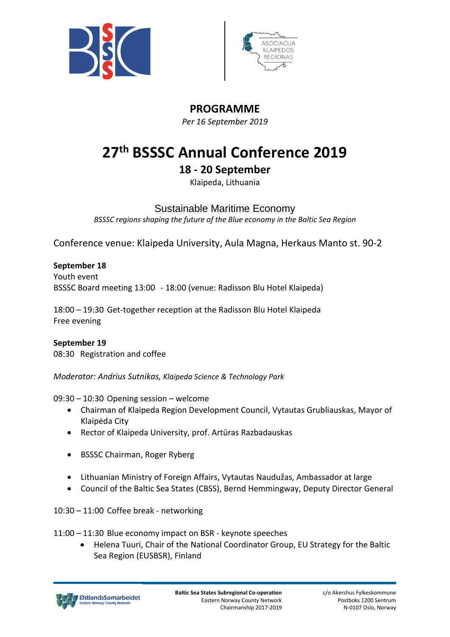



# **PROGRAMME**

*Per 16 September 2019*

# **27 th BSSSC Annual Conference 2019**

# **18 - 20 September**

Klaipeda, Lithuania

# Sustainable Maritime Economy

*BSSSC regions shaping the future of the Blue economy in the Baltic Sea Region*

Conference venue: Klaipeda University, Aula Magna, Herkaus Manto st. 90-2

# **September 18**

Youth event BSSSC Board meeting 13:00 - 18:00 (venue: Radisson Blu Hotel Klaipeda)

18:00 – 19:30 Get-together reception at the Radisson Blu Hotel Klaipeda Free evening

#### **September 19** 08:30 Registration and coffee

*Moderator: Andrius Sutnikas, Klaipeda Science & Technology Park*

09:30 – 10:30 Opening session – welcome

- Chairman of Klaipeda Region Development Council, Vytautas Grubliauskas, Mayor of Klaipėda City
- Rector of Klaipeda University, prof. Artūras Razbadauskas
- BSSSC Chairman, Roger Ryberg
- Lithuanian Ministry of Foreign Affairs, Vytautas Naudužas, Ambassador at large
- Council of the Baltic Sea States (CBSS), Bernd Hemmingway, Deputy Director General

10:30 – 11:00 Coffee break - networking

11:00 – 11:30 Blue economy impact on BSR - keynote speeches

• Helena Tuuri, Chair of the National Coordinator Group, EU Strategy for the Baltic Sea Region (EUSBSR), Finland

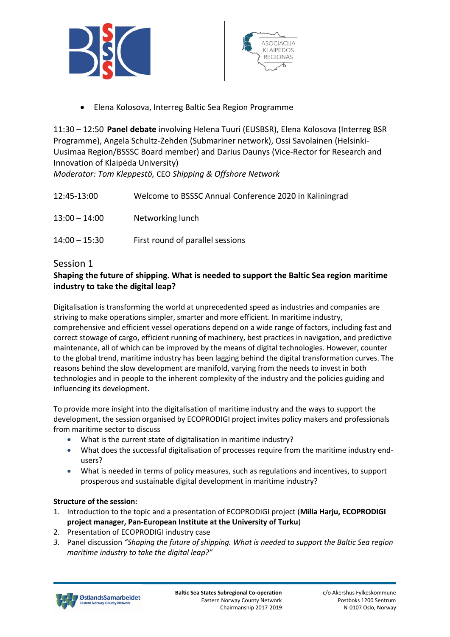



• Elena Kolosova, Interreg Baltic Sea Region Programme

11:30 – 12:50 **Panel debate** involving Helena Tuuri (EUSBSR), Elena Kolosova (Interreg BSR Programme), Angela Schultz-Zehden (Submariner network), Ossi Savolainen (Helsinki-Uusimaa Region/BSSSC Board member) and Darius Daunys (Vice-Rector for Research and Innovation of Klaipėda University)

*Moderator: Tom Kleppestö,* CEO *Shipping & Offshore Network*

| 12:45-13:00     | Welcome to BSSSC Annual Conference 2020 in Kaliningrad |
|-----------------|--------------------------------------------------------|
| $13:00 - 14:00$ | Networking lunch                                       |
| $14:00 - 15:30$ | First round of parallel sessions                       |

# Session 1

# **Shaping the future of shipping. What is needed to support the Baltic Sea region maritime industry to take the digital leap?**

Digitalisation is transforming the world at unprecedented speed as industries and companies are striving to make operations simpler, smarter and more efficient. In maritime industry, comprehensive and efficient vessel operations depend on a wide range of factors, including fast and correct stowage of cargo, efficient running of machinery, best practices in navigation, and predictive maintenance, all of which can be improved by the means of digital technologies. However, counter to the global trend, maritime industry has been lagging behind the digital transformation curves. The reasons behind the slow development are manifold, varying from the needs to invest in both technologies and in people to the inherent complexity of the industry and the policies guiding and influencing its development.

To provide more insight into the digitalisation of maritime industry and the ways to support the development, the session organised by ECOPRODIGI project invites policy makers and professionals from maritime sector to discuss

- What is the current state of digitalisation in maritime industry?
- What does the successful digitalisation of processes require from the maritime industry endusers?
- What is needed in terms of policy measures, such as regulations and incentives, to support prosperous and sustainable digital development in maritime industry?

#### **Structure of the session:**

- 1. Introduction to the topic and a presentation of ECOPRODIGI project (**Milla Harju, ECOPRODIGI project manager, Pan-European Institute at the University of Turku**)
- 2. Presentation of ECOPRODIGI industry case
- *3.* Panel discussion *"Shaping the future of shipping. What is needed to support the Baltic Sea region maritime industry to take the digital leap?"*

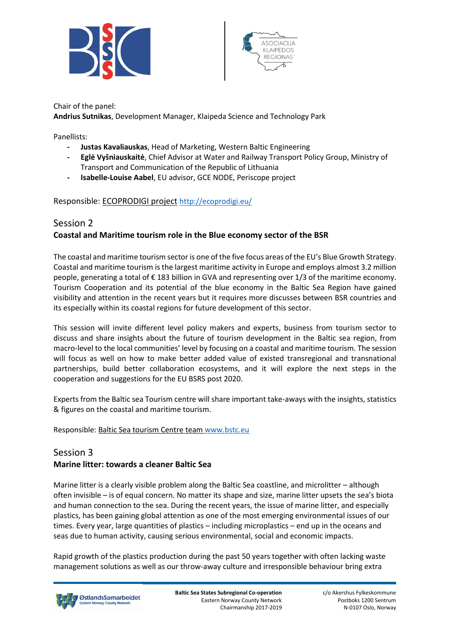



Chair of the panel: **Andrius Sutnikas**, Development Manager, Klaipeda Science and Technology Park

Panellists:

- **- Justas Kavaliauskas**, Head of Marketing, Western Baltic Engineering
- **- Eglė Vyšniauskaitė**, Chief Advisor at Water and Railway Transport Policy Group, Ministry of Transport and Communication of the Republic of Lithuania
- **- Isabelle-Louise Aabel**, EU advisor, GCE NODE, Periscope project

#### Responsible: ECOPRODIGI project <http://ecoprodigi.eu/>

# Session 2 **Coastal and Maritime tourism role in the Blue economy sector of the BSR**

The coastal and maritime tourism sector is one of the five focus areas of the EU's Blue Growth Strategy. Coastal and maritime tourism is the largest maritime activity in Europe and employs almost 3.2 million people, generating a total of € 183 billion in GVA and representing over 1/3 of the maritime economy. Tourism Cooperation and its potential of the blue economy in the Baltic Sea Region have gained visibility and attention in the recent years but it requires more discusses between BSR countries and its especially within its coastal regions for future development of this sector.

This session will invite different level policy makers and experts, business from tourism sector to discuss and share insights about the future of tourism development in the Baltic sea region, from macro-level to the local communities' level by focusing on a coastal and maritime tourism. The session will focus as well on how to make better added value of existed transregional and transnational partnerships, build better collaboration ecosystems, and it will explore the next steps in the cooperation and suggestions for the EU BSRS post 2020.

Experts from the Baltic sea Tourism centre will share important take-aways with the insights, statistics & figures on the coastal and maritime tourism.

Responsible: Baltic Sea tourism Centre team [www.bstc.eu](http://www.bstc.eu/) 

## Session 3 **Marine litter: towards a cleaner Baltic Sea**

Marine litter is a clearly visible problem along the Baltic Sea coastline, and microlitter – although often invisible – is of equal concern. No matter its shape and size, marine litter upsets the sea's biota and human connection to the sea. During the recent years, the issue of marine litter, and especially plastics, has been gaining global attention as one of the most emerging environmental issues of our

seas due to human activity, causing serious environmental, social and economic impacts.

Rapid growth of the plastics production during the past 50 years together with often lacking waste management solutions as well as our throw-away culture and irresponsible behaviour bring extra

times. Every year, large quantities of plastics – including microplastics – end up in the oceans and

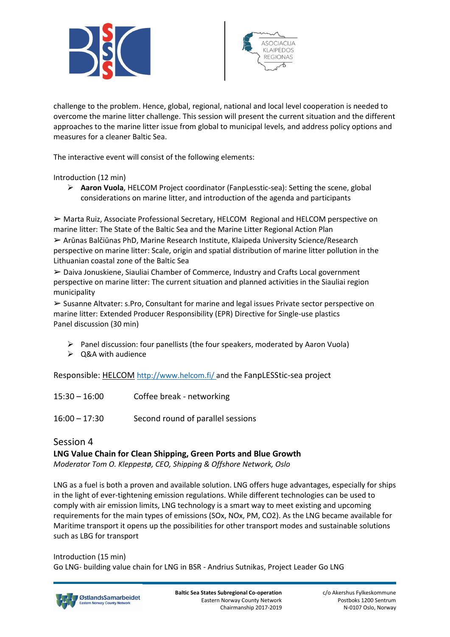



challenge to the problem. Hence, global, regional, national and local level cooperation is needed to overcome the marine litter challenge. This session will present the current situation and the different approaches to the marine litter issue from global to municipal levels, and address policy options and measures for a cleaner Baltic Sea.

The interactive event will consist of the following elements:

Introduction (12 min)

➢ **Aaron Vuola**, HELCOM Project coordinator (FanpLesstic-sea): Setting the scene, global considerations on marine litter, and introduction of the agenda and participants

➢ Marta Ruiz, Associate Professional Secretary, HELCOM Regional and HELCOM perspective on marine litter: The State of the Baltic Sea and the Marine Litter Regional Action Plan ➢ Arūnas Balčiūnas PhD, Marine Research Institute, Klaipeda University Science/Research perspective on marine litter: Scale, origin and spatial distribution of marine litter pollution in the Lithuanian coastal zone of the Baltic Sea

➢ Daiva Jonuskiene, Siauliai Chamber of Commerce, Industry and Crafts Local government perspective on marine litter: The current situation and planned activities in the Siauliai region municipality

➢ Susanne Altvater: s.Pro, Consultant for marine and legal issues Private sector perspective on marine litter: Extended Producer Responsibility (EPR) Directive for Single-use plastics Panel discussion (30 min)

- $\triangleright$  Panel discussion: four panellists (the four speakers, moderated by Aaron Vuola)
- $\triangleright$  Q&A with audience

Responsible: HELCOM <http://www.helcom.fi/> and the FanpLESStic-sea project

- 15:30 16:00 Coffee break networking
- 16:00 17:30 Second round of parallel sessions

# Session 4 **LNG Value Chain for Clean Shipping, Green Ports and Blue Growth**

*Moderator Tom O. Kleppestø, CEO, Shipping & Offshore Network, Oslo*

LNG as a fuel is both a proven and available solution. LNG offers huge advantages, especially for ships in the light of ever-tightening emission regulations. While different technologies can be used to comply with air emission limits, LNG technology is a smart way to meet existing and upcoming requirements for the main types of emissions (SOx, NOx, PM, CO2). As the LNG became available for Maritime transport it opens up the possibilities for other transport modes and sustainable solutions such as LBG for transport

Introduction (15 min) Go LNG- building value chain for LNG in BSR - Andrius Sutnikas, Project Leader Go LNG

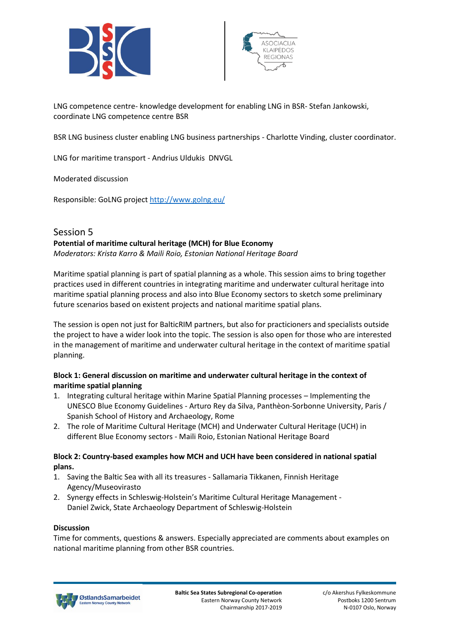



LNG competence centre- knowledge development for enabling LNG in BSR- Stefan Jankowski, coordinate LNG competence centre BSR

BSR LNG business cluster enabling LNG business partnerships - Charlotte Vinding, cluster coordinator.

LNG for maritime transport - Andrius Uldukis DNVGL

Moderated discussion

Responsible: GoLNG project<http://www.golng.eu/>

## Session 5 **Potential of maritime cultural heritage (MCH) for Blue Economy** *Moderators: Krista Karro & Maili Roio, Estonian National Heritage Board*

Maritime spatial planning is part of spatial planning as a whole. This session aims to bring together practices used in different countries in integrating maritime and underwater cultural heritage into maritime spatial planning process and also into Blue Economy sectors to sketch some preliminary

future scenarios based on existent projects and national maritime spatial plans.

The session is open not just for BalticRIM partners, but also for practicioners and specialists outside the project to have a wider look into the topic. The session is also open for those who are interested in the management of maritime and underwater cultural heritage in the context of maritime spatial planning.

#### **Block 1: General discussion on maritime and underwater cultural heritage in the context of maritime spatial planning**

- 1. Integrating cultural heritage within Marine Spatial Planning processes Implementing the UNESCO Blue Economy Guidelines - Arturo Rey da Silva, Panthèon-Sorbonne University, Paris / Spanish School of History and Archaeology, Rome
- 2. The role of Maritime Cultural Heritage (MCH) and Underwater Cultural Heritage (UCH) in different Blue Economy sectors - Maili Roio, Estonian National Heritage Board

#### **Block 2: Country-based examples how MCH and UCH have been considered in national spatial plans.**

- 1. Saving the Baltic Sea with all its treasures Sallamaria Tikkanen, Finnish Heritage Agency/Museovirasto
- 2. Synergy effects in Schleswig-Holstein's Maritime Cultural Heritage Management Daniel Zwick, State Archaeology Department of Schleswig-Holstein

#### **Discussion**

Time for comments, questions & answers. Especially appreciated are comments about examples on national maritime planning from other BSR countries.

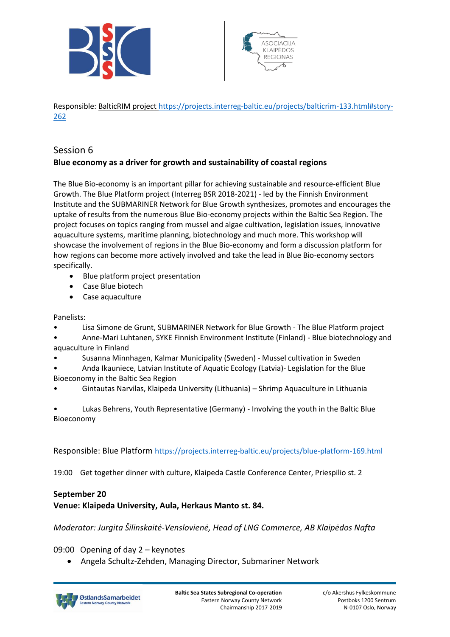



Responsible: BalticRIM projec[t https://projects.interreg-baltic.eu/projects/balticrim-133.html#story-](https://projects.interreg-baltic.eu/projects/balticrim-133.html#story-262)[262](https://projects.interreg-baltic.eu/projects/balticrim-133.html#story-262)

# Session 6 **Blue economy as a driver for growth and sustainability of coastal regions**

The Blue Bio-economy is an important pillar for achieving sustainable and resource-efficient Blue Growth. The Blue Platform project (Interreg BSR 2018-2021) - led by the Finnish Environment Institute and the SUBMARINER Network for Blue Growth synthesizes, promotes and encourages the uptake of results from the numerous Blue Bio-economy projects within the Baltic Sea Region. The project focuses on topics ranging from mussel and algae cultivation, legislation issues, innovative aquaculture systems, maritime planning, biotechnology and much more. This workshop will showcase the involvement of regions in the Blue Bio-economy and form a discussion platform for how regions can become more actively involved and take the lead in Blue Bio-economy sectors specifically.

- Blue platform project presentation
- Case Blue biotech
- Case aquaculture

#### Panelists:

- Lisa Simone de Grunt, SUBMARINER Network for Blue Growth The Blue Platform project
- Anne-Mari Luhtanen, SYKE Finnish Environment Institute (Finland) Blue biotechnology and aquaculture in Finland
- Susanna Minnhagen, Kalmar Municipality (Sweden) Mussel cultivation in Sweden
- Anda Ikauniece, Latvian Institute of Aquatic Ecology (Latvia)- Legislation for the Blue Bioeconomy in the Baltic Sea Region
- Gintautas Narvilas, Klaipeda University (Lithuania) Shrimp Aquaculture in Lithuania

• Lukas Behrens, Youth Representative (Germany) - Involving the youth in the Baltic Blue Bioeconomy

Responsible: Blue Platform <https://projects.interreg-baltic.eu/projects/blue-platform-169.html>

19:00 Get together dinner with culture, Klaipeda Castle Conference Center, Priespilio st. 2

#### **September 20**

#### **Venue: Klaipeda University, Aula, Herkaus Manto st. 84.**

*Moderator: Jurgita Šilinskaitė-Venslovienė, Head of LNG Commerce, AB Klaipėdos Nafta*

09:00 Opening of day 2 – keynotes

• Angela Schultz-Zehden, Managing Director, Submariner Network